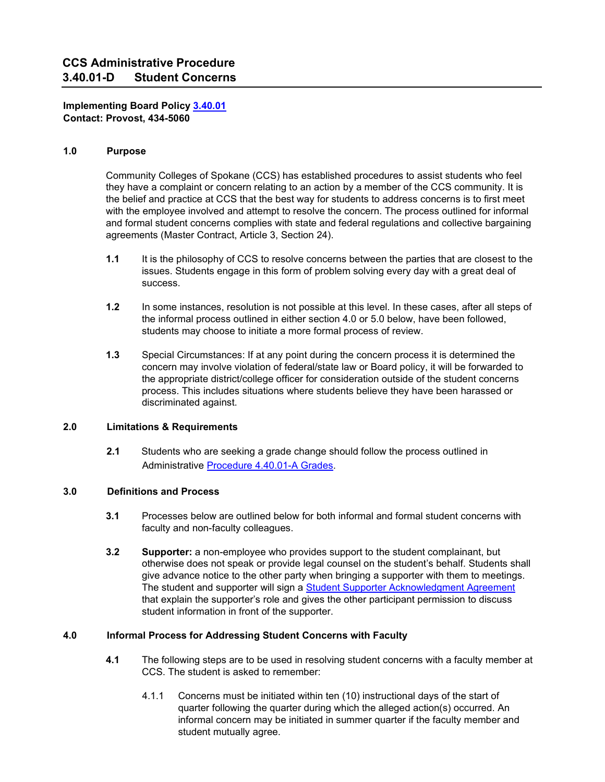**Implementing Board Policy [3.40.01](about:blank#AccWE2-4)  Contact: Provost, 434-5060** 

### **1.0 Purpose**

Community Colleges of Spokane (CCS) has established procedures to assist students who feel they have a complaint or concern relating to an action by a member of the CCS community. It is the belief and practice at CCS that the best way for students to address concerns is to first meet with the employee involved and attempt to resolve the concern. The process outlined for informal and formal student concerns complies with state and federal regulations and collective bargaining agreements (Master Contract, Article 3, Section 24).

- **1.1** It is the philosophy of CCS to resolve concerns between the parties that are closest to the issues. Students engage in this form of problem solving every day with a great deal of success.
- **1.2** In some instances, resolution is not possible at this level. In these cases, after all steps of the informal process outlined in either section 4.0 or 5.0 below, have been followed, students may choose to initiate a more formal process of review.
- **1.3** Special Circumstances: If at any point during the concern process it is determined the concern may involve violation of federal/state law or Board policy, it will be forwarded to the appropriate district/college officer for consideration outside of the student concerns process. This includes situations where students believe they have been harassed or discriminated against.

# **2.0 Limitations & Requirements**

**2.1** Students who are seeking a grade change should follow the process outlined in Administrative [Procedure 4.40.01-A Grades.](about:blank) 

# **3.0 Definitions and Process**

- **3.1** Processes below are outlined below for both informal and formal student concerns with faculty and non-faculty colleagues.
- **3.2 Supporter:** a non-employee who provides support to the student complainant, but otherwise does not speak or provide legal counsel on the student's behalf. Students shall give advance notice to the other party when bringing a supporter with them to meetings. The student and supporter will sign a [Student Supporter Acknowledgment](about:blank) [Agreement](about:blank) [th](about:blank)at explain the supporter's role and gives the other participant permission to discuss student information in front of the supporter.

# **4.0 Informal Process for Addressing Student Concerns with Faculty**

- **4.1** The following steps are to be used in resolving student concerns with a faculty member at CCS. The student is asked to remember:
	- 4.1.1 Concerns must be initiated within ten (10) instructional days of the start of quarter following the quarter during which the alleged action(s) occurred. An informal concern may be initiated in summer quarter if the faculty member and student mutually agree.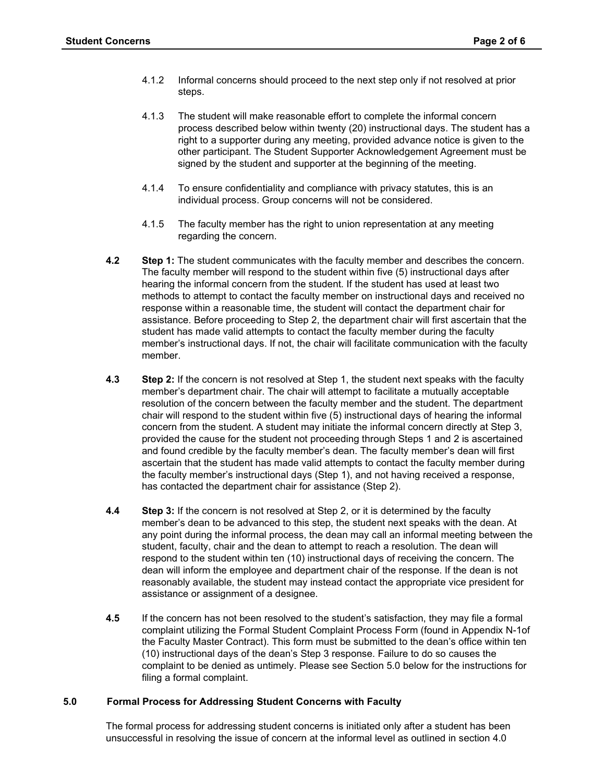- 4.1.2 Informal concerns should proceed to the next step only if not resolved at prior steps.
- 4.1.3 The student will make reasonable effort to complete the informal concern process described below within twenty (20) instructional days. The student has a right to a supporter during any meeting, provided advance notice is given to the other participant. The Student Supporter Acknowledgement Agreement must be signed by the student and supporter at the beginning of the meeting.
- 4.1.4 To ensure confidentiality and compliance with privacy statutes, this is an individual process. Group concerns will not be considered.
- 4.1.5 The faculty member has the right to union representation at any meeting regarding the concern.
- **4.2 Step 1:** The student communicates with the faculty member and describes the concern. The faculty member will respond to the student within five (5) instructional days after hearing the informal concern from the student. If the student has used at least two methods to attempt to contact the faculty member on instructional days and received no response within a reasonable time, the student will contact the department chair for assistance. Before proceeding to Step 2, the department chair will first ascertain that the student has made valid attempts to contact the faculty member during the faculty member's instructional days. If not, the chair will facilitate communication with the faculty member.
- **4.3** Step 2: If the concern is not resolved at Step 1, the student next speaks with the faculty member's department chair. The chair will attempt to facilitate a mutually acceptable resolution of the concern between the faculty member and the student. The department chair will respond to the student within five (5) instructional days of hearing the informal concern from the student. A student may initiate the informal concern directly at Step 3, provided the cause for the student not proceeding through Steps 1 and 2 is ascertained and found credible by the faculty member's dean. The faculty member's dean will first ascertain that the student has made valid attempts to contact the faculty member during the faculty member's instructional days (Step 1), and not having received a response, has contacted the department chair for assistance (Step 2).
- **4.4** Step 3: If the concern is not resolved at Step 2, or it is determined by the faculty member's dean to be advanced to this step, the student next speaks with the dean. At any point during the informal process, the dean may call an informal meeting between the student, faculty, chair and the dean to attempt to reach a resolution. The dean will respond to the student within ten (10) instructional days of receiving the concern. The dean will inform the employee and department chair of the response. If the dean is not reasonably available, the student may instead contact the appropriate vice president for assistance or assignment of a designee.
- **4.5** If the concern has not been resolved to the student's satisfaction, they may file a formal complaint utilizing the Formal Student Complaint Process Form (found in Appendix N-1of the Faculty Master Contract). This form must be submitted to the dean's office within ten (10) instructional days of the dean's Step 3 response. Failure to do so causes the complaint to be denied as untimely. Please see Section 5.0 below for the instructions for filing a formal complaint.

## **5.0 Formal Process for Addressing Student Concerns with Faculty**

The formal process for addressing student concerns is initiated only after a student has been unsuccessful in resolving the issue of concern at the informal level as outlined in section 4.0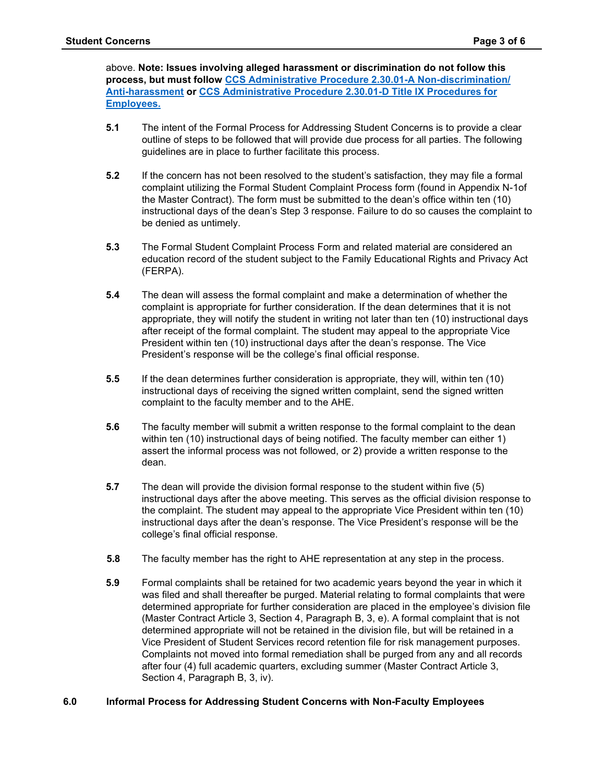above. **Note: Issues involving alleged harassment or discrimination do not follow this process, but must follow [CCS Administrative Procedure 2.30.01-A Non-discrimination/](https://ccs.spokane.edu/ccsglobal/media/Global/PDFs/District/Policies/CH2/2.30.01_EqualEmploymentNonDiscriminationAntiHarass/2-30-01A_DiscriminationComplaint.pdf)  [Anti-harassment](https://ccs.spokane.edu/ccsglobal/media/Global/PDFs/District/Policies/CH2/2.30.01_EqualEmploymentNonDiscriminationAntiHarass/2-30-01A_DiscriminationComplaint.pdf) or [CCS Administrative Procedure 2.30.01-D Title IX Procedures for](https://shared.spokane.edu/ccsglobal/media/Global/PDFs/District/Policies/CH2/2.30.01_EqualEmploymentNonDiscriminationAntiHarass/2-30-01D_TitleIXProceduresEmployees.pdf)  [Employees.](https://shared.spokane.edu/ccsglobal/media/Global/PDFs/District/Policies/CH2/2.30.01_EqualEmploymentNonDiscriminationAntiHarass/2-30-01D_TitleIXProceduresEmployees.pdf)**

- **5.1** The intent of the Formal Process for Addressing Student Concerns is to provide a clear outline of steps to be followed that will provide due process for all parties. The following guidelines are in place to further facilitate this process.
- **5.2** If the concern has not been resolved to the student's satisfaction, they may file a formal complaint utilizing the Formal Student Complaint Process form (found in Appendix N-1of the Master Contract). The form must be submitted to the dean's office within ten (10) instructional days of the dean's Step 3 response. Failure to do so causes the complaint to be denied as untimely.
- **5.3** The Formal Student Complaint Process Form and related material are considered an education record of the student subject to the Family Educational Rights and Privacy Act (FERPA).
- **5.4** The dean will assess the formal complaint and make a determination of whether the complaint is appropriate for further consideration. If the dean determines that it is not appropriate, they will notify the student in writing not later than ten (10) instructional days after receipt of the formal complaint. The student may appeal to the appropriate Vice President within ten (10) instructional days after the dean's response. The Vice President's response will be the college's final official response.
- **5.5** If the dean determines further consideration is appropriate, they will, within ten (10) instructional days of receiving the signed written complaint, send the signed written complaint to the faculty member and to the AHE.
- **5.6** The faculty member will submit a written response to the formal complaint to the dean within ten (10) instructional days of being notified. The faculty member can either 1) assert the informal process was not followed, or 2) provide a written response to the dean.
- **5.7** The dean will provide the division formal response to the student within five (5) instructional days after the above meeting. This serves as the official division response to the complaint. The student may appeal to the appropriate Vice President within ten (10) instructional days after the dean's response. The Vice President's response will be the college's final official response.
- **5.8** The faculty member has the right to AHE representation at any step in the process.
- **5.9** Formal complaints shall be retained for two academic years beyond the year in which it was filed and shall thereafter be purged. Material relating to formal complaints that were determined appropriate for further consideration are placed in the employee's division file (Master Contract Article 3, Section 4, Paragraph B, 3, e). A formal complaint that is not determined appropriate will not be retained in the division file, but will be retained in a Vice President of Student Services record retention file for risk management purposes. Complaints not moved into formal remediation shall be purged from any and all records after four (4) full academic quarters, excluding summer (Master Contract Article 3, Section 4, Paragraph B, 3, iv).

# **6.0 Informal Process for Addressing Student Concerns with Non-Faculty Employees**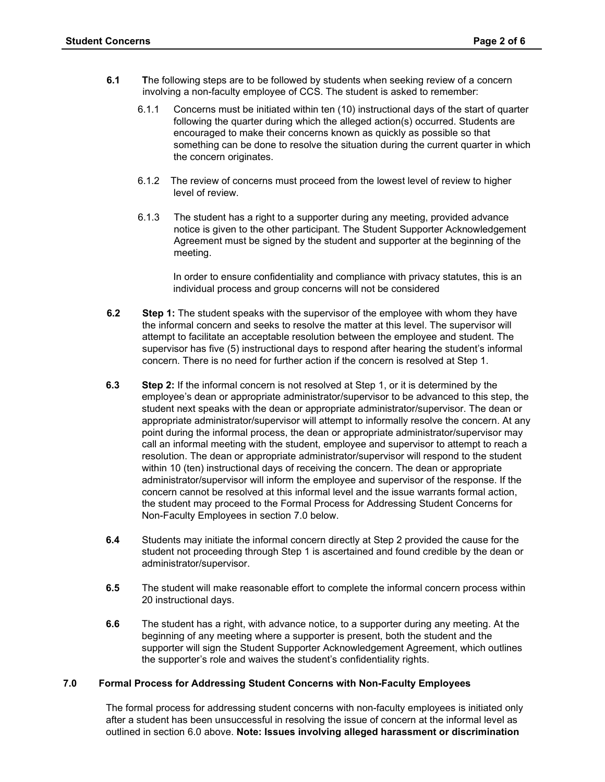- **6.1 T**he following steps are to be followed by students when seeking review of a concern involving a non-faculty employee of CCS. The student is asked to remember:
	- 6.1.1 Concerns must be initiated within ten (10) instructional days of the start of quarter following the quarter during which the alleged action(s) occurred. Students are encouraged to make their concerns known as quickly as possible so that something can be done to resolve the situation during the current quarter in which the concern originates.
	- 6.1.2 The review of concerns must proceed from the lowest level of review to higher level of review.
	- 6.1.3 The student has a right to a supporter during any meeting, provided advance notice is given to the other participant. The Student Supporter Acknowledgement Agreement must be signed by the student and supporter at the beginning of the meeting.

In order to ensure confidentiality and compliance with privacy statutes, this is an individual process and group concerns will not be considered

- **6.2 Step 1:** The student speaks with the supervisor of the employee with whom they have the informal concern and seeks to resolve the matter at this level. The supervisor will attempt to facilitate an acceptable resolution between the employee and student. The supervisor has five (5) instructional days to respond after hearing the student's informal concern. There is no need for further action if the concern is resolved at Step 1.
- **6.3** Step 2: If the informal concern is not resolved at Step 1, or it is determined by the employee's dean or appropriate administrator/supervisor to be advanced to this step, the student next speaks with the dean or appropriate administrator/supervisor. The dean or appropriate administrator/supervisor will attempt to informally resolve the concern. At any point during the informal process, the dean or appropriate administrator/supervisor may call an informal meeting with the student, employee and supervisor to attempt to reach a resolution. The dean or appropriate administrator/supervisor will respond to the student within 10 (ten) instructional days of receiving the concern. The dean or appropriate administrator/supervisor will inform the employee and supervisor of the response. If the concern cannot be resolved at this informal level and the issue warrants formal action, the student may proceed to the Formal Process for Addressing Student Concerns for Non-Faculty Employees in section 7.0 below.
- **6.4** Students may initiate the informal concern directly at Step 2 provided the cause for the student not proceeding through Step 1 is ascertained and found credible by the dean or administrator/supervisor.
- **6.5** The student will make reasonable effort to complete the informal concern process within 20 instructional days.
- **6.6** The student has a right, with advance notice, to a supporter during any meeting. At the beginning of any meeting where a supporter is present, both the student and the supporter will sign the Student Supporter Acknowledgement Agreement, which outlines the supporter's role and waives the student's confidentiality rights.

# **7.0 Formal Process for Addressing Student Concerns with Non-Faculty Employees**

The formal process for addressing student concerns with non-faculty employees is initiated only after a student has been unsuccessful in resolving the issue of concern at the informal level as outlined in section 6.0 above. **Note: Issues involving alleged harassment or discrimination**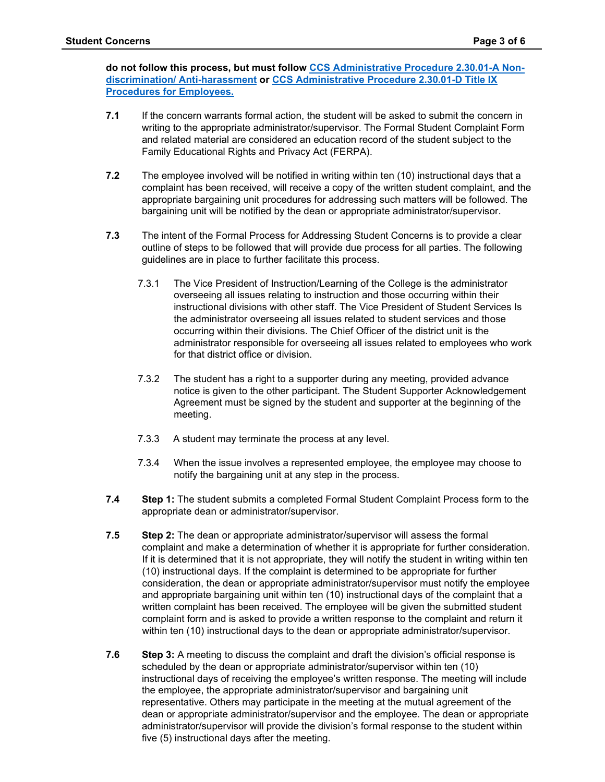**do not follow this process, but must follow [CCS Administrative Procedure 2.30.01-A Non](https://ccs.spokane.edu/ccsglobal/media/Global/PDFs/District/Policies/CH2/2.30.01_EqualEmploymentNonDiscriminationAntiHarass/2-30-01A_DiscriminationComplaint.pdf)[discrimination/ Anti-harassment](https://ccs.spokane.edu/ccsglobal/media/Global/PDFs/District/Policies/CH2/2.30.01_EqualEmploymentNonDiscriminationAntiHarass/2-30-01A_DiscriminationComplaint.pdf) or [CCS Administrative Procedure 2.30.01-D Title IX](https://shared.spokane.edu/ccsglobal/media/Global/PDFs/District/Policies/CH2/2.30.01_EqualEmploymentNonDiscriminationAntiHarass/2-30-01D_TitleIXProceduresEmployees.pdf)  [Procedures for Employees.](https://shared.spokane.edu/ccsglobal/media/Global/PDFs/District/Policies/CH2/2.30.01_EqualEmploymentNonDiscriminationAntiHarass/2-30-01D_TitleIXProceduresEmployees.pdf)**

- **7.1** If the concern warrants formal action, the student will be asked to submit the concern in writing to the appropriate administrator/supervisor. The Formal Student Complaint Form and related material are considered an education record of the student subject to the Family Educational Rights and Privacy Act (FERPA).
- **7.2** The employee involved will be notified in writing within ten (10) instructional days that a complaint has been received, will receive a copy of the written student complaint, and the appropriate bargaining unit procedures for addressing such matters will be followed. The bargaining unit will be notified by the dean or appropriate administrator/supervisor.
- **7.3** The intent of the Formal Process for Addressing Student Concerns is to provide a clear outline of steps to be followed that will provide due process for all parties. The following guidelines are in place to further facilitate this process.
	- 7.3.1 The Vice President of Instruction/Learning of the College is the administrator overseeing all issues relating to instruction and those occurring within their instructional divisions with other staff. The Vice President of Student Services Is the administrator overseeing all issues related to student services and those occurring within their divisions. The Chief Officer of the district unit is the administrator responsible for overseeing all issues related to employees who work for that district office or division.
	- 7.3.2 The student has a right to a supporter during any meeting, provided advance notice is given to the other participant. The Student Supporter Acknowledgement Agreement must be signed by the student and supporter at the beginning of the meeting.
	- 7.3.3 A student may terminate the process at any level.
	- 7.3.4 When the issue involves a represented employee, the employee may choose to notify the bargaining unit at any step in the process.
- **7.4 Step 1:** The student submits a completed Formal Student Complaint Process form to the appropriate dean or administrator/supervisor.
- **7.5 Step 2:** The dean or appropriate administrator/supervisor will assess the formal complaint and make a determination of whether it is appropriate for further consideration. If it is determined that it is not appropriate, they will notify the student in writing within ten (10) instructional days. If the complaint is determined to be appropriate for further consideration, the dean or appropriate administrator/supervisor must notify the employee and appropriate bargaining unit within ten (10) instructional days of the complaint that a written complaint has been received. The employee will be given the submitted student complaint form and is asked to provide a written response to the complaint and return it within ten (10) instructional days to the dean or appropriate administrator/supervisor.
- **7.6 Step 3:** A meeting to discuss the complaint and draft the division's official response is scheduled by the dean or appropriate administrator/supervisor within ten (10) instructional days of receiving the employee's written response. The meeting will include the employee, the appropriate administrator/supervisor and bargaining unit representative. Others may participate in the meeting at the mutual agreement of the dean or appropriate administrator/supervisor and the employee. The dean or appropriate administrator/supervisor will provide the division's formal response to the student within five (5) instructional days after the meeting.